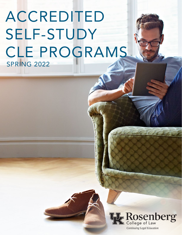# ACCREDITED SELF-STUDY CLE PROGRAMS SPRING 2022



1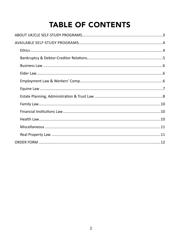# **TABLE OF CONTENTS**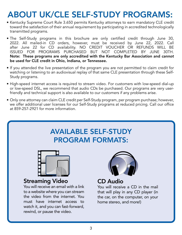# ABOUT UK/CLE SELF-STUDY PROGRAMS:

- Kentucky Supreme Court Rule 3.650 permits Kentucky attorneys to earn mandatory CLE credit toward the satisfaction of their annual requirement by participating in accredited technologically transmitted programs.
- The Self-Study programs in this brochure are only certified credit through June 30, 2022. All mailed-in CD orders, however, must be received by June 22, 2022. Call after June 22 for CD availability. NO CREDIT VOUCHER OR REFUNDS WILL BE ISSUED FOR PROGRAMS PURCHASED BUT NOT COMPLETED BY JUNE 30TH. Note: These programs are only accredited with the Kentucky Bar Association and *cannot* be used for CLE credit in Ohio, Indiana, or Tennessee.
- If you attended the live presentation of the program you are not permitted to claim credit for watching or listening to an audiovisual replay of that same CLE presentation through these Self-Study programs.
- High-speed internet access is required to stream video. For customers with low-speed dial-up or low-speed DSL, we recommend that audio CDs be purchased. Our programs are very userfriendly and technical support is also available to our customers if any problems arise.
- Only one attorney can claim CLE credit per Self-Study program, per program purchase; however, we offer additional user licenses for our Self-Study programs at reduced pricing. Call our office at 859-257-2921 for more information.

#### AVAILABLE SELF-STUDY PROGRAM FORMATS:



#### Streaming Video

You will receive an email with a link to a website where you can stream the video from the internet. You must have internet access to watch it, and you can fast-forward, rewind, or pause the video.



#### CD Audio

 $\mathcal{L}$  player  $\mathcal{L}$  player  $\mathcal{L}$  player (in the case) Tou will receive a CD in the main that will play in any CD player (in You will receive a CD in the mail the car, on the computer, on your home stereo, and more!)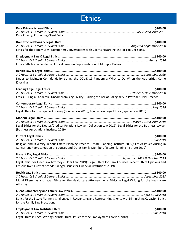### **Ethics**

<span id="page-3-0"></span>

| Data Privacy; Protecting Client Data.                                                                                                                                                                                |  |
|----------------------------------------------------------------------------------------------------------------------------------------------------------------------------------------------------------------------|--|
| Ethics for the Family Law Practitioner; Conversations with Clients Regarding End-of-Life Decisions.                                                                                                                  |  |
| Ethics Pitfalls in a Pandemic; Ethical Issues in Representation of Multiple Parties.                                                                                                                                 |  |
| Duties to Maintain Confidentiality during the COVID-19 Pandemic; What to Do When the Authorities Come<br>Knocking                                                                                                    |  |
| Ethics During a Pandemic; Uncompromising Civility: Raising the Bar of Collegiality in Pretrial & Trial Practice.                                                                                                     |  |
| Legal Ethics for the Equine Attorney (Equine Law 2019); Equine Law Legal Ethics (Equine Law 2019)                                                                                                                    |  |
| Legal Ethics for the Debtor/Creditor Relations Lawyer (Collection Law 2019); Legal Ethics for the Business Lawyer<br>(Business Associations Institute 2019)                                                          |  |
| Religion and Diversity in Your Estate Planning Practice (Estate Planning Institute 2019); Ethics Issues Arising in<br>Concurrent Representation of Spouses and Other Family Members (Estate Planning Institute 2019) |  |
| Legal Ethics for Elder Law Attorneys (Elder Law 2019); Legal Ethics for Bank Counsel: Recent Ethics Opinions and<br>Lessons from Current Scandals (Legal Issues for Financial Institutions 2019)                     |  |
| Moral Dilemmas and Legal Ethics for the Healthcare Attorney; Legal Ethics in Legal Writing for the Healthcare<br>Attorney                                                                                            |  |
| Ethics for the Estate Planner: Challenges in Recognizing and Representing Clients with Diminishing Capacity; Ethics<br>for the Family Law Practitioner                                                               |  |
|                                                                                                                                                                                                                      |  |

Legal Ethics in Legal Writing (2018); Ethical Issues for the Employment Lawyer (2018)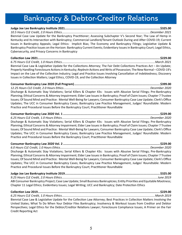### <span id="page-4-0"></span>**Bankruptcy & Debtor-Creditor Relations**

Biennial Case Law Update for the Bankruptcy Practitioner; Assessing Subchapter V's Second Year; The Law of Hemp in Kentucky and Its Intersection with Bankruptcy; Commercial Landlord/Tenant Outlook During and After COVID-19; Current Issues in Bankruptcy Appeals; Legal Ethics: Implicit Bias; The Economy and Bankruptcy Filings; Legislative Update & Bankruptcy Practice Issues on the Horizon: Bankruptcy Current Events; Evidentiary Issues in Bankruptcy Court; Legal Ethics, Cybersecurity, and Privacy Concerns in Bankruptcy

Biennial Case Law & Legislative Update for the Collections Attorney; The Fair Debt Collections Practices Act - An Update; Properly Handling Foreclosure Actions in Kentucky; Replevin Actions and Writs of Possession; The New Normal - COVID-19's Impact on the Law of the Collection Industry; Legal and Practice Issues Involving Cancellation of Indebtedness; Discovery Issues in Collection Matters; Legal Ethics, COVID-19, and the Collection Attorney

Discharge & Automatic Stay Violations; Serial Killers & Chapter 43s: Issues with Abusive Serial Filings; Pre-Bankruptcy Planning; Ethical Concerns & Attorney Impairment; Elder Law Issues in Bankruptcy; Proof of Claim Issues; Chapter 7 Trustee Issues; Of Sound Mind and Practice: Mental Well-Being for Lawyers; Consumer Bankruptcy Case Law Update; Clerk's Office Updates; The UCC in Consumer Bankruptcy Cases; Bankruptcy Law Practice Management, Judges' Roundtable: Modern Practice and Procedural Issues Before the Bankruptcy Court; Practitioner Roundtable

Discharge & Automatic Stay Violations; Serial Killers & Chapter 43s: Issues with Abusive Serial Filings; Pre-Bankruptcy Planning; Ethical Concerns & Attorney Impairment; Elder Law Issues in Bankruptcy; Proof of Claim Issues; Chapter 7 Trustee Issues; Of Sound Mind and Practice: Mental Well-Being for Lawyers; Consumer Bankruptcy Case Law Update; Clerk's Office Updates; The UCC in Consumer Bankruptcy Cases; Bankruptcy Law Practice Management, Judges' Roundtable: Modern Practice and Procedural Issues Before the Bankruptcy Court; Practitioner Roundtable

Discharge & Automatic Stay Violations; Serial Killers & Chapter 43s: Issues with Abusive Serial Filings; Pre-Bankruptcy Planning; Ethical Concerns & Attorney Impairment; Elder Law Issues in Bankruptcy; Proof of Claim Issues; Chapter 7 Trustee Issues; Of Sound Mind and Practice: Mental Well-Being for Lawyers; Consumer Bankruptcy Case Law Update; Clerk's Office Updates; The UCC in Consumer Bankruptcy Cases; Bankruptcy Law Practice Management, Judges' Roundtable: Modern Practice and Procedural Issues Before the Bankruptcy Court; Practitioner Roundtable

ABI Consumer Bankruptcy Project; Case Law Update; Small Business Bankruptcies; Entity Priorities and Equitable Mootness; Chapter 11 Legal Ethics; Evidentiary Issues; Legal Writing; UCC and Bankruptcy; Date Protection Ethics

Biennial Case Law & Legislative Update for the Collection Law Attorney; Best Practices in Collection Matters Involving the United States; What To Do When Your Debtor Files Bankruptcy; Insolvency & Workout Issues from Creditor and Debtor Perspectives; Legal Ethics for the Debtor/Creditor Relations Lawyer; Foreclosure Compliance Issues; A Primer on the Fair **Credit Reporting Act**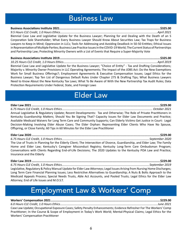#### **Business Law**

<span id="page-5-0"></span>Biennial Case Law and Legislative Update for the Business Lawyer; Planning for and Dealing with the Death of an S Corporation Sole Shareholder; What Every Business Lawyer Should Know About Securities Law; Tax Traps for Business Lawyers to Keep in Mind; Oppression in LLCs; Tools for Addressing and Avoiding Deadlock in 50-50 Entities; Ethical Issues in Representation of Multiple Parties; Business Law Practice Issues in the COVID-19 World; The Current Status of Partnerships and Partnership Law; Protecting Minority Owners with a List of Events that Require a Super-Majority Vote

Biennial Case Law and Legislative Update for the Business Lawyer; "Choice of Entity" - Tax and Drafting Considerations; Majority v. Minority Owner Provisions in LLC Operating Agreements; The Impact of the JOBS Act: Do the New Exemptions Work for Small Business Offerings?; Employment Agreements & Executive Compensation Issues; Legal Ethics for the Business Lawyer; Top Ten List of Dangerous Default Rules Under Chapter 275 & Drafting Tips; What Business Lawyers Need to Know About the New Kentucky Tax Laws; What To Be Aware of With the New Partnership Tax Audit Rules; Data Protection Requirements Under Federal, State, and Foreign Laws

#### **Elder Law**

Annual Legislative & Regulatory Update; Recent Developments: Tax and Otherwise; The Role of Private Practitioners in Kentucky Guardianship Matters; Should You Be Signing That? Capacity Issues for Elder Law Documents and Practice; Available Medicaid Waivers for Long Term Care and Community Supports; Can Elderly Victims Get Justice in Court: Legal Decision-Making Involving Elder Abuse Cases; The Elder Orphan: Representing Elder Clients Who Have No Spouse, Offspring, or Close Family; 60 Tips in 60 Minutes for the Elder Law Practitioner

The Use of Trusts in Planning for the Elderly Client; The Intersection of Divorce, Guardianship, and Elder Law; The Family Home and Elder Law; Kentucky's Caregiver Misconduct Registry; Kentucky Long-Term Care Ombudsman Program; Conversations with Clients Regarding End-of-Life Decisions; The 2020 Updates to the Kentucky POA Law and Practice; Insurance and the Elderly

Legislative, Regulatory & Policy Manual Update for Elder Law Attorneys; Legal Issues Arising from Nursing Home Discharges; Long Term Care Financial Planning Issues; Less Restrictive Alternatives to Guardianship; A Nuts & Bolts Approach to the Medicaid Appeals Process; Special Needs Trusts, Able Act Accounts, and Pooled Trusts; Legal Ethics for the Elder Law Attorney; End of Life Issues and M.O.S.T.

### **Employment Law & Workers' Comp**

#### 

Case Law Update; Occupational Exposure Cases; Safety Penalty Enhancements; Evidence Refresher For The Workers' Comp Practitioner; In the Course & Scope of Employment in Today's Work World; Mental-Physical Claims; Legal Ethics for the **Workers' Compensation Practitioner**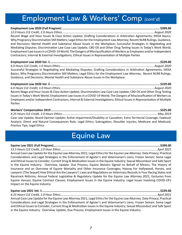#### <span id="page-6-0"></span>Employment Law & Workers' Comp (cont'd)

Recent Wage and Hour Issues & Class Action Update; Drafting Considerations in Arbitration Agreements; ERISA Basics; Why Pregnancy Discrimination Still Matters; Legal Ethics for the Employment Law Attorney; Recent NLRB Rulings, Guidance, and Decisions; Mental Health and Substance Abuse Issues in the Workplace; Successful Strategies in Negotiating and Mediating Disputes; Discrimination Law Case Law Update; CBD Oil and Other Drug Testing Issues in Today's Work World; Employment Law Issues in a COVID-19 World; The Dangers of Misclassification of Workers as Employees and/or Independent Contractors; Internal & External Investigations; Ethical Issues in Representation of Multiple Parties

Successful Strategies in Negotiating and Mediating Disputes; Drafting Considerations in Arbitration Agreements; ERISA Basics; Why Pregnancy Discrimination Still Matters; Legal Ethics for the Employment Law Attorney; Recent NLRB Rulings, Guidance, and Decisions; Mental Health and Substance Abuse Issues in the Workplace

Recent Wage and Hour Issues & Class Action Update; Discrimination Law Case Law Update; CBD Oil and Other Drug Testing Issues in Today's Work World; Employment Law Issues in a COVID-19 World; The Dangers of Misclassification of Workers as Employees and/or Independent Contractors; Internal & External Investigations; Ethical Issues in Representation of Multiple Parties

Case Law Update; Board Opinion Update; Active Impairment/Disability or Causation; Extra-Territorial Coverage; Fawbush Analysis; Direct and Natural Consequences Rule; Legal Ethics; Subrogation; Shoulder Injuries; Medicare and Medicaid; Practice Tips; Legal Ethics

#### **Equine Law**

Annual Case Law Update for the Equine Law Attorney 2021; Legal Ethics for the Equine Law Attorney: Data Privacy; Practical Considerations and Legal Strategies in the Enforcement of Agister's and Veterinarian's Liens; Frozen Semen: Some Legal and Ethical Issues to Consider; Current Drug & Medication Issues in the Equine Industry; Sexual Misconduct and Safe Sport in the Equine Industry: Overview, Update, Due Process; Equine Waivers Signed on Behalf of Minors; The History of Insurance and an Overview of Equine Mortality and Other Insurance Coverages; Hooray For Hollywood, Horses, and Lawyers! (The Sequel) How Ethical Are the Lawyers?; Laws and Regulations on Veterinary Records in Four Racing States and Racetrack Reforms; Annual Federal Legislative & Regulatory Update for the Equine Law Attorney 2021; Exclusion from Equine Venues; Equine Contract Clauses; Employment Issues in the Equine Industry; Legal Issues Involving COVID-19's Impact on the Equine Industry

Annual Case Law Update for the Equine Law Attorney 2021; Legal Ethics for the Equine Law Attorney: Data Privacy; Practical Considerations and Legal Strategies in the Enforcement of Agister's and Veterinarian's Liens; Frozen Semen: Some Legal and Ethical Issues to Consider; Current Drug & Medication Issues in the Equine Industry; Sexual Misconduct and Safe Sport in the Equine Industry: Overview, Update, Due Process; Employment Issues in the Equine Industry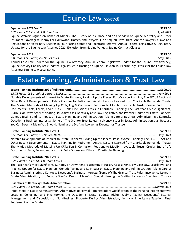#### Equine Law (cont'd)

<span id="page-7-0"></span>Equine Waivers Signed on Behalf of Minors; The History of Insurance and an Overview of Equine Mortality and Other Insurance Coverages; Hooray For Hollywood, Horses, and Lawyers! (The Sequel) How Ethical Are the Lawyers?; Laws and Regulations on Veterinary Records in Four Racing States and Racetrack Reforms; Annual Federal Legislative & Regulatory Update for the Equine Law Attorney 2021; Exclusion from Equine Venues; Equine Contract Clauses

Annual Case Law Update for the Equine Law Attorney; Annual Federal Legislative Update for the Equine Law Attorney; Equine Activity Liability Acts Update; Legal Issues in Hosting an Equine Clinic on Your Farm; Legal Ethics for the Equine Law Attorney; Equine Law Legal Ethics

#### Estate Planning, Administration & Trust Law

Notable Developments of Interest to Estate Planners; Picking Up the Pieces: Post-Divorce Planning; The SECURE Act and Other Recent Developments in Estate Planning for Retirement Assets; Lessons Learned from Charitable Remainder Trusts: The Myriad Methods of Messing Up CRTs; Fog & Confusion: Petitions to Modify Irrevocable Trusts; Crucial End of Life Documents: Facts, Forms, and a Nuts & Bolts Discussion; Ethics in Charitable Planning; The Past Year's Most Significant, Curious, or Downright Fascinating Fiduciary Cases; Kentucky Case Law, Legislative, and Practice Update for Estate Planners; Genetic Testing and Its Impact on Estate Planning and Administration; Taking Care of Business: Administering a Kentucky Decedent's Business Interests; (Some of) The Grantor Trust Rules; Insolvency Issues in Estate Administration; Just Because You Can Doesn't Mean You Should: Naming the Drafting Lawyer as Executor or Trustee

Notable Developments of Interest to Estate Planners; Picking Up the Pieces: Post-Divorce Planning; The SECURE Act and Other Recent Developments in Estate Planning for Retirement Assets; Lessons Learned from Charitable Remainder Trusts: The Myriad Methods of Messing Up CRTs; Fog & Confusion: Petitions to Modify Irrevocable Trusts; Crucial End of Life Documents: Facts, Forms, and a Nuts & Bolts Discussion; Ethics in Charitable Planning

The Past Year's Most Significant, Curious, or Downright Fascinating Fiduciary Cases; Kentucky Case Law, Legislative, and Practice Update for Estate Planners; Genetic Testing and Its Impact on Estate Planning and Administration; Taking Care of Business: Administering a Kentucky Decedent's Business Interests; (Some of) The Grantor Trust Rules; Insolvency Issues in Estate Administration; Just Because You Can Doesn't Mean You Should: Naming the Drafting Lawyer as Executor or Trustee

Initial Steps in Estate Administration; Alternatives to Formal Administration; Qualification of the Personal Representative; Locating, Collecting, and Inventorying the Decedent's Estate; Spousal Rights; Claims Against Decedents' Estates; Management and Disposition of Non-Business Property During Administration; Kentucky Inheritance Taxation; Final Settlement of the Estate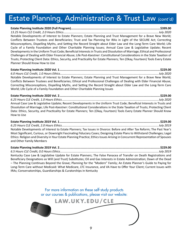#### Estate Planning, Administration & Trust Law (cont'd)

#### Notable Developments of Interest to Estate Planners; Estate Planning and Trust Management for a Brave New World; Conflicts Between Trustees and Beneficiaries; Trust and Tax Planning for IRAs in Light of the SECURE Act; Correcting Misconceptions, Dispelling Myths, and Setting the Record Straight about Elder Law and the Long-Term Care World; Life Cycle of a Family Foundation and Other Charitable Planning Issues; Annual Case Law & Legislative Update; Recent

Developments in the Uniform Trust Code; Beneficial Interests in Trusts and Dissolution of Marriage; Ethical and Professional Challenges of Dealing with Elder Financial Abuse; Life Post-Kaestner: Constitutional Considerations in the State Taxation of Trusts; Protecting Client Data: Ethics, Security, and Practicality for Estate Planners; Ten (Okay, Fourteen) Tools Every Estate Planner Should Know How to Use

Notable Developments of Interest to Estate Planners; Estate Planning and Trust Management for a Brave New World; Conflicts Between Trustees and Beneficiaries; Ethical and Professional Challenges of Dealing with Elder Financial Abuse; Correcting Misconceptions, Dispelling Myths, and Setting the Record Straight about Elder Law and the Long-Term Care World; Life Cycle of a Family Foundation and Other Charitable Planning Issues

Annual Case Law & Legislative Update; Recent Developments in the Uniform Trust Code; Beneficial Interests in Trusts and Dissolution of Marriage; Life Post-Kaestner: Constitutional Considerations in the State Taxation of Trusts; Protecting Client Data: Ethics, Security, and Practicality for Estate Planners; Ten (Okay, Fourteen) Tools Every Estate Planner Should Know How to Use

Notable Developments of Interest to Estate Planners; Tax Issues in Divorce: Before and After Tax Reform; The Past Year's Most Significant, Curious, or Downright Fascinating Fiduciary Cases; Designing Estate Plans to Withstand Challenges; Legal Ethics: Religion and Diversity in Your Estate Planning Practice; Ethics Issues Arising in Concurrent Representation of Spouses and Other Family Members

Kentucky Case Law & Legislative Update for Estate Planners; The False Panacea of Transfer on Death Registrations and Beneficiary Designations as Will (and Trust) Substitutes; Oil and Gas Interests in Estate Administration; Dawn of the Dead - The Planning Continues Beyond the Grave; Planning for the "Modern" Family; An Estate Planner's Guide to Paying for Long-Term Care without Medicaid: What Medicare, LTC Insurance, and VA Have to Offer Your Client; Current Issues with IRAs; Conservatorships, Guardianships & Curatorships in Kentucky

> For more information on these self-study products or our courses & publications, please visit our website: LAW.UKY.EDU/CLE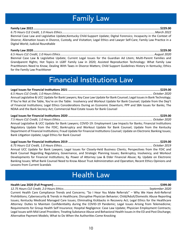### **Family Law**

<span id="page-9-0"></span>Biennial Case Law and Legislative Update;Kentucky Child-Support Update; Digital Forensics; Incapacity in the Context of Divorce; Alienation Issues in Divorce, Custody, and Visitation; Legal Ethics and Lawyer Self-Care; Family Law Practice in a Digital World; Judicial Roundtable

Biennial Case Law & Legislative Update; Current Legal Issues for the Guardian Ad Litem; Multi-Parent Families and Grandparent Rights; Hot Topics in LGBT Family Law in 2020; Assisted Reproduction Technology: What Family Law Practitioners Need to Know; Dealing With Taxes in Divorce Matters; Child Support Guidelines History in Kentucky; Ethics for the Family Law Practitioner

#### **Financial Institutions Law**

Annual Legislative & UCC Update for Bank Lawyers; Key Case Law Update for Bank Counsel; Legal Issues in Bank Technology; If You're Not at the Table, You're on the Table: Insolvency and Workout Update for Bank Counsel; Update from the Dep't of Financial Institutions; Legal Ethics Considerations During an Economic Downturn; PPP and SBA Issues for Banks; The NDAA and the Bank Secrecy Act; Commercial Real Estate Issues for Bank Counsel

Annual Legislative & UCC Update for Bank Lawyers; COVID-19: Employment Law Impacts for Banks; Financial Institutions Regulatory Update from the FDIC; Bankruptcy and Workout Update for Bank Counsel; Update from the Kentucky Department of Financial Institutions; Fraud Update for Financial Institutions Counsel; Update on Electronic Banking Issues; Bank Litigation Update; Legal Ethics for Bank Counsel

Annual UCC Update for Bank Lawyers; Legal Issues for Closely-Held Business Clients; Perspectives from the FDIC and Bank Counsel Regarding Regulatory, Governance, and Strategic Planning Issues; Bankruptcy, Insolvency, and Workout Developments for Financial Institutions; Ky. Power of Attorney Law & Elder Financial Abuse; Ky. Update on Electronic Banking Issues; What Bank Counsel Need to Know About Trust Administration and Operation; Recent Ethics Opinions and Lessons from Current Scandals

#### **Health Law**

Current Health Care Compliance Trends and Concerns; "So I Hear You Make Referrals" - Why We Have Anti-Referral Prohibitions; Cybersecurity & Trends in Healthcare; Disruptive Physician Behavior; Child/Adult/Domestic Abuse Reporting Issues; Kentucky Medicaid Managed Care Issues; Eliminating Kickbacks in Recovery Act; Legal Ethics for the Healthcare Attorney: Duties to Maintain Confidentiality during the COVID-19 Pandemic; Legal Issues Arising from Telemedicine; Requirements for Group Health Self Insurance; Hospital Negligence: Case Law Update; Physician Employment Contracts; Legal Issues with Mid-Level Providers; Treating Substance Abuse and Behavioral Health Issues in the ED and Post Discharge; Alternative Payment Models; What to Do When the Authorities Come Knocking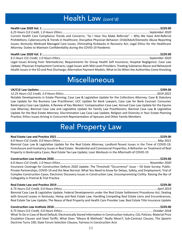#### Health Law *(cont'd)*

<span id="page-10-0"></span>**Health Law 2020 Vol. 1 .......................................................................................................................................\$229.00** *6.25 Hours CLE Credit, 1.0 Hours Ethics ..........................................................................................................September 2020* Current Health Care Compliance Trends and Concerns; "So I Hear You Make Referrals" – Why We Have Anti-Referral Prohibitions; Cybersecurity & Trends in Healthcare; Disruptive Physician Behavior; Child/Adult/Domestic Abuse Reporting Issues; Kentucky Medicaid Managed Care Issues; Eliminating Kickbacks in Recovery Act; Legal Ethics for the Healthcare Attorney: Duties to Maintain Confidentiality during the COVID-19 Pandemic

**Health Law 2020 Vol. 2 .......................................................................................................................................\$229.00** *6.5 Hours CLE Credit, 1.0 Hours Ethics ............................................................................................................September 2020* Legal Issues Arising from Telemedicine; Requirements for Group Health Self Insurance; Hospital Negligence: Case Law Update; Physician Employment Contracts; Legal Issues with Mid-Level Providers; Treating Substance Abuse and Behavioral Health Issues in the ED and Post Discharge; Alternative Payment Models; What to Do When the Authorities Come Knocking

#### **Miscellaneous**

**UK/CLE Law Updates..........................................................................................................................................\$399.00** *12.25 Hours CLE Credit, 2.0 Hours Ethics .................................................................................................................2019-2021* Notable Developments in Estate Planning; Case Law & Legislative Update for the Collections Attorney; Case & Statutory Law Update for the Business Law Practitioner; UCC Update for Bank Lawyers; Case Law for Bank Counsel; Consumer Bankruptcy Case Law Update; A Review of Key Workers' Compensation Case Law; Annual Case Law Update for the Equine Law Attorney; Biennial Case Law and Legislative Update for Family Law Practitioners; Biennial Case Law & Legislative Update for the Real Estate Attorney; Discrimination Law Case Law Update; Religion and Diversity in Your Estate Planning Practice; Ethics Issues Arising in Concurrent Representation of Spouses and Other Family Members

### Real Property Law

| Biennial Case Law & Legislative Update for the Real Estate Attorney; Landlord-Tenant Issues in the Time of COVID-19;<br>Foreclosure and Insolvency Issues in Real Estate: Residential and Commercial Properties; A Refresher on Treatment of Real<br>Property in Bankruptcy Cases; Real Estate Tax Law Update; Loan Workouts in the Aftermath of COVID-19            |  |
|----------------------------------------------------------------------------------------------------------------------------------------------------------------------------------------------------------------------------------------------------------------------------------------------------------------------------------------------------------------------|--|
| Insurance Coverage for Construction Defects 2020 Update: The Threshold "Occurrence" Issue - 50 State Survey; Public-                                                                                                                                                                                                                                                 |  |
| Private Partnerships; COVID-19 and the New Normal: What You Need to Know for Delays, Safety, and Employment; Trial of<br>Complex Construction Cases; Electronic Discovery Issues in Construction Law; Uncompromising Civility: Raising the Bar of<br><b>Collegiality in Pretrial &amp; Trial Practice</b>                                                            |  |
|                                                                                                                                                                                                                                                                                                                                                                      |  |
|                                                                                                                                                                                                                                                                                                                                                                      |  |
| Biennial Case Law & Legislative Update; Federal Developments under the Real Estate Settlement Procedures Act; Dealing<br>with Ground Leases in Kentucky; Hemp and Real Estate Law; Handling Competing Real Estate Liens and Encumbrances;<br>Real Estate Tax Law Update; The Nexus of Real Property and Health Care Provider Law; Real Estate Title Insurance Update |  |
|                                                                                                                                                                                                                                                                                                                                                                      |  |

**Construction Law Institute 2018 .........................................................................................................................\$229.00** *6.75 Hours CLE Credit, 0.0 Hours Ethics .............................................................................................................. October 2018* What To Do in Case of Bond Default; Electronically Stored Information in Construction Industry; CGL Policies; Material Price Escalation Clauses and Steel Tariffs; What Does "Means & Methods" Really Mean?; Sub-Contract Clauses; The *Spearin* Doctrine Turns 100; State Forum Selection Clauses; Fairness In Construction Acts